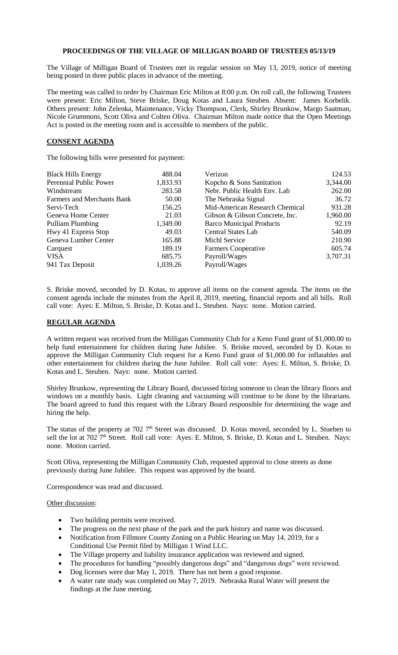## **PROCEEDINGS OF THE VILLAGE OF MILLIGAN BOARD OF TRUSTEES 05/13/19**

The Village of Milligan Board of Trustees met in regular session on May 13, 2019, notice of meeting being posted in three public places in advance of the meeting.

The meeting was called to order by Chairman Eric Milton at 8:00 p.m. On roll call, the following Trustees were present: Eric Milton, Steve Briske, Doug Kotas and Laura Steuben. Absent: James Korbelik. Others present: John Zelenka, Maintenance, Vicky Thompson, Clerk, Shirley Brunkow, Margo Saatman, Nicole Grummons, Scott Oliva and Colten Oliva. Chairman Milton made notice that the Open Meetings Act is posted in the meeting room and is accessible to members of the public.

## **CONSENT AGENDA**

The following bills were presented for payment:

| <b>Black Hills Energy</b>         | 488.04   | Verizon                         | 124.53   |
|-----------------------------------|----------|---------------------------------|----------|
| Perennial Public Power            | 1,833.93 | Kopcho & Sons Sanitation        | 3,344.00 |
| Windstream                        | 283.58   | Nebr. Public Health Env. Lab    | 262.00   |
| <b>Farmers and Merchants Bank</b> | 50.00    | The Nebraska Signal             | 36.72    |
| Servi-Tech                        | 156.25   | Mid-American Research Chemical  | 931.28   |
| Geneva Home Center                | 21.03    | Gibson & Gibson Concrete, Inc.  | 1,960.00 |
| <b>Pulliam Plumbing</b>           | 1,349.00 | <b>Barco Municipal Products</b> | 92.19    |
| Hwy 41 Express Stop               | 49.03    | <b>Central States Lab</b>       | 540.09   |
| Geneva Lumber Center              | 165.88   | Michl Service                   | 210.90   |
| Carquest                          | 189.19   | Farmers Cooperative             | 605.74   |
| <b>VISA</b>                       | 685.75   | Payroll/Wages                   | 3,707.31 |
| 941 Tax Deposit                   | 1,039.26 | Payroll/Wages                   |          |

S. Briske moved, seconded by D. Kotas, to approve all items on the consent agenda. The items on the consent agenda include the minutes from the April 8, 2019, meeting, financial reports and all bills. Roll call vote: Ayes: E. Milton, S. Briske, D. Kotas and L. Steuben. Nays: none. Motion carried.

## **REGULAR AGENDA**

A written request was received from the Milligan Community Club for a Keno Fund grant of \$1,000.00 to help fund entertainment for children during June Jubilee. S. Briske moved, seconded by D. Kotas to approve the Milligan Community Club request for a Keno Fund grant of \$1,000.00 for inflatables and other entertainment for children during the June Jubilee. Roll call vote: Ayes: E. Milton, S. Briske, D. Kotas and L. Steuben. Nays: none. Motion carried.

Shirley Brunkow, representing the Library Board, discussed hiring someone to clean the library floors and windows on a monthly basis. Light cleaning and vacuuming will continue to be done by the librarians. The board agreed to fund this request with the Library Board responsible for determining the wage and hiring the help.

The status of the property at 702 7<sup>th</sup> Street was discussed. D. Kotas moved, seconded by L. Stueben to sell the lot at 702 7<sup>th</sup> Street. Roll call vote: Ayes: E. Milton, S. Briske, D. Kotas and L. Steuben. Nays: none. Motion carried.

Scott Oliva, representing the Milligan Community Club, requested approval to close streets as done previously during June Jubilee. This request was approved by the board.

Correspondence was read and discussed.

Other discussion:

- Two building permits were received.
- The progress on the next phase of the park and the park history and name was discussed.
- Notification from Fillmore County Zoning on a Public Hearing on May 14, 2019, for a Conditional Use Permit filed by Milligan 1 Wind LLC.
- The Village property and liability insurance application was reviewed and signed.
- The procedures for handling "possibly dangerous dogs" and "dangerous dogs" were reviewed.
- Dog licenses were due May 1, 2019. There has not been a good response.
- A water rate study was completed on May 7, 2019. Nebraska Rural Water will present the findings at the June meeting.